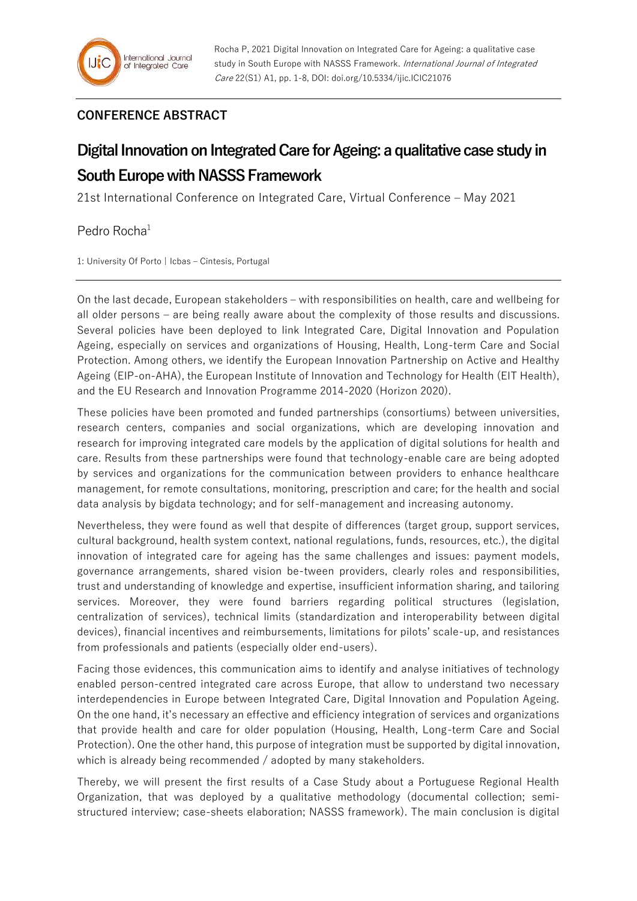## **CONFERENCE ABSTRACT**

## **Digital Innovation on Integrated Care for Ageing: a qualitative case study in South Europe with NASSS Framework**

21st International Conference on Integrated Care, Virtual Conference – May 2021

Pedro Rocha<sup>1</sup>

1: University Of Porto | Icbas – Cintesis, Portugal

On the last decade, European stakeholders – with responsibilities on health, care and wellbeing for all older persons – are being really aware about the complexity of those results and discussions. Several policies have been deployed to link Integrated Care, Digital Innovation and Population Ageing, especially on services and organizations of Housing, Health, Long-term Care and Social Protection. Among others, we identify the European Innovation Partnership on Active and Healthy Ageing (EIP-on-AHA), the European Institute of Innovation and Technology for Health (EIT Health), and the EU Research and Innovation Programme 2014-2020 (Horizon 2020).

These policies have been promoted and funded partnerships (consortiums) between universities, research centers, companies and social organizations, which are developing innovation and research for improving integrated care models by the application of digital solutions for health and care. Results from these partnerships were found that technology-enable care are being adopted by services and organizations for the communication between providers to enhance healthcare management, for remote consultations, monitoring, prescription and care; for the health and social data analysis by bigdata technology; and for self-management and increasing autonomy.

Nevertheless, they were found as well that despite of differences (target group, support services, cultural background, health system context, national regulations, funds, resources, etc.), the digital innovation of integrated care for ageing has the same challenges and issues: payment models, governance arrangements, shared vision be-tween providers, clearly roles and responsibilities, trust and understanding of knowledge and expertise, insufficient information sharing, and tailoring services. Moreover, they were found barriers regarding political structures (legislation, centralization of services), technical limits (standardization and interoperability between digital devices), financial incentives and reimbursements, limitations for pilots' scale-up, and resistances from professionals and patients (especially older end-users).

Facing those evidences, this communication aims to identify and analyse initiatives of technology enabled person-centred integrated care across Europe, that allow to understand two necessary interdependencies in Europe between Integrated Care, Digital Innovation and Population Ageing. On the one hand, it's necessary an effective and efficiency integration of services and organizations that provide health and care for older population (Housing, Health, Long-term Care and Social Protection). One the other hand, this purpose of integration must be supported by digital innovation, which is already being recommended / adopted by many stakeholders.

Thereby, we will present the first results of a Case Study about a Portuguese Regional Health Organization, that was deployed by a qualitative methodology (documental collection; semistructured interview; case-sheets elaboration; NASSS framework). The main conclusion is digital